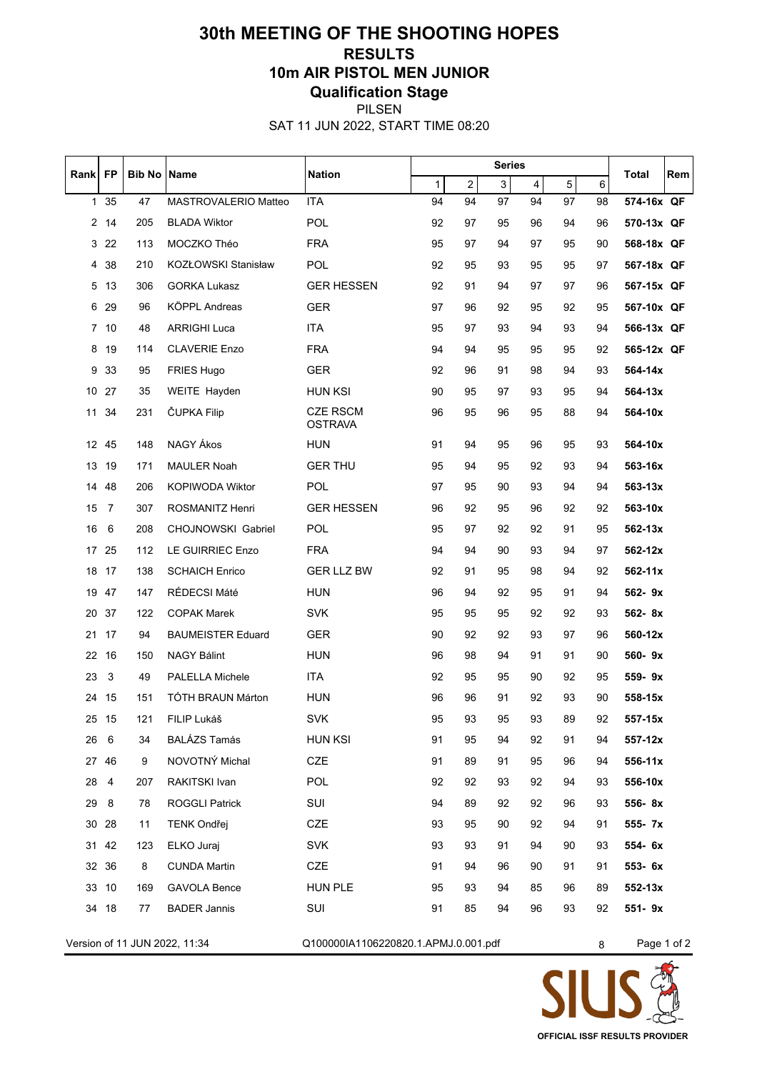## **30th MEETING OF THE SHOOTING HOPES RESULTS 10m AIR PISTOL MEN JUNIOR Qualification Stage** PILSEN

SAT 11 JUN 2022, START TIME 08:20

| Rank             | <b>FP</b>       | <b>Bib No Name</b> | <b>Nation</b>            |                                   | <b>Series</b> |                |    |                         |                |         |             | Rem |
|------------------|-----------------|--------------------|--------------------------|-----------------------------------|---------------|----------------|----|-------------------------|----------------|---------|-------------|-----|
|                  |                 |                    |                          |                                   | $\mathbf{1}$  | $\overline{c}$ | 3  | $\overline{\mathbf{4}}$ | 5 <sup>1</sup> | $\,6\,$ | Total       |     |
| $\mathbf{1}$     | 35              | 47                 | MASTROVALERIO Matteo     | <b>ITA</b>                        | 94            | 94             | 97 | 94                      | 97             | 98      | 574-16x QF  |     |
|                  | 2 14            | 205                | <b>BLADA Wiktor</b>      | POL                               | 92            | 97             | 95 | 96                      | 94             | 96      | 570-13x QF  |     |
| 3                | 22              | 113                | MOCZKO Théo              | <b>FRA</b>                        | 95            | 97             | 94 | 97                      | 95             | 90      | 568-18x QF  |     |
| 4                | 38              | 210                | KOZŁOWSKI Stanisław      | POL                               | 92            | 95             | 93 | 95                      | 95             | 97      | 567-18x QF  |     |
| 5                | 13              | 306                | <b>GORKA Lukasz</b>      | <b>GER HESSEN</b>                 | 92            | 91             | 94 | 97                      | 97             | 96      | 567-15x QF  |     |
| 6                | 29              | 96                 | KÖPPL Andreas            | <b>GER</b>                        | 97            | 96             | 92 | 95                      | 92             | 95      | 567-10x QF  |     |
|                  | 7 <sub>10</sub> | 48                 | <b>ARRIGHI Luca</b>      | <b>ITA</b>                        | 95            | 97             | 93 | 94                      | 93             | 94      | 566-13x QF  |     |
| 8                | 19              | 114                | <b>CLAVERIE Enzo</b>     | <b>FRA</b>                        | 94            | 94             | 95 | 95                      | 95             | 92      | 565-12x QF  |     |
| 9                | 33              | 95                 | <b>FRIES Hugo</b>        | <b>GER</b>                        | 92            | 96             | 91 | 98                      | 94             | 93      | 564-14x     |     |
|                  | 10 27           | 35                 | WEITE Hayden             | <b>HUN KSI</b>                    | 90            | 95             | 97 | 93                      | 95             | 94      | 564-13x     |     |
| 11               | 34              | 231                | ČUPKA Filip              | <b>CZE RSCM</b><br><b>OSTRAVA</b> | 96            | 95             | 96 | 95                      | 88             | 94      | 564-10x     |     |
| 12 <sup>12</sup> | 45              | 148                | NAGY Ákos                | <b>HUN</b>                        | 91            | 94             | 95 | 96                      | 95             | 93      | 564-10x     |     |
| 13               | 19              | 171                | <b>MAULER Noah</b>       | <b>GER THU</b>                    | 95            | 94             | 95 | 92                      | 93             | 94      | 563-16x     |     |
| 14               | 48              | 206                | KOPIWODA Wiktor          | <b>POL</b>                        | 97            | 95             | 90 | 93                      | 94             | 94      | $563 - 13x$ |     |
| 15               | $\overline{7}$  | 307                | ROSMANITZ Henri          | <b>GER HESSEN</b>                 | 96            | 92             | 95 | 96                      | 92             | 92      | 563-10x     |     |
| 16               | 6               | 208                | CHOJNOWSKI Gabriel       | POL                               | 95            | 97             | 92 | 92                      | 91             | 95      | $562 - 13x$ |     |
| 17               | 25              | 112                | LE GUIRRIEC Enzo         | <b>FRA</b>                        | 94            | 94             | 90 | 93                      | 94             | 97      | 562-12x     |     |
|                  | 18 17           | 138                | <b>SCHAICH Enrico</b>    | <b>GER LLZ BW</b>                 | 92            | 91             | 95 | 98                      | 94             | 92      | 562-11x     |     |
|                  | 19 47           | 147                | RÉDECSI Máté             | <b>HUN</b>                        | 96            | 94             | 92 | 95                      | 91             | 94      | 562-9x      |     |
|                  | 20 37           | 122                | <b>COPAK Marek</b>       | <b>SVK</b>                        | 95            | 95             | 95 | 92                      | 92             | 93      | 562-8x      |     |
| 21               | 17              | 94                 | <b>BAUMEISTER Eduard</b> | <b>GER</b>                        | 90            | 92             | 92 | 93                      | 97             | 96      | 560-12x     |     |
| 22               | 16              | 150                | <b>NAGY Bálint</b>       | <b>HUN</b>                        | 96            | 98             | 94 | 91                      | 91             | 90      | 560-9x      |     |
| 23               | 3               | 49                 | <b>PALELLA Michele</b>   | <b>ITA</b>                        | 92            | 95             | 95 | 90                      | 92             | 95      | 559-9x      |     |
| 24               | 15              | 151                | <b>TÓTH BRAUN Márton</b> | <b>HUN</b>                        | 96            | 96             | 91 | 92                      | 93             | 90      | 558-15x     |     |
| 25               | -15             | 121                | FILIP Lukáš              | <b>SVK</b>                        | 95            | 93             | 95 | 93                      | 89             | 92      | 557-15x     |     |
| 26               | 6               | 34                 | <b>BALÁZS Tamás</b>      | <b>HUN KSI</b>                    | 91            | 95             | 94 | 92                      | 91             | 94      | 557-12x     |     |
|                  | 27 46           | 9                  | NOVOTNÝ Michal           | <b>CZE</b>                        | 91            | 89             | 91 | 95                      | 96             | 94      | 556-11x     |     |
| 28               | 4               | 207                | RAKITSKI Ivan            | <b>POL</b>                        | 92            | 92             | 93 | 92                      | 94             | 93      | 556-10x     |     |
| 29               | 8               | 78                 | <b>ROGGLI Patrick</b>    | SUI                               | 94            | 89             | 92 | 92                      | 96             | 93      | 556-8x      |     |
|                  | 30 28           | 11                 | <b>TENK Ondřej</b>       | CZE                               | 93            | 95             | 90 | 92                      | 94             | 91      | 555- 7x     |     |
|                  | 31 42           | 123                | ELKO Juraj               | <b>SVK</b>                        | 93            | 93             | 91 | 94                      | 90             | 93      | 554- 6x     |     |
|                  | 32 36           | 8                  | <b>CUNDA Martin</b>      | CZE                               | 91            | 94             | 96 | 90                      | 91             | 91      | 553- 6x     |     |
|                  | 33 10           | 169                | <b>GAVOLA Bence</b>      | <b>HUN PLE</b>                    | 95            | 93             | 94 | 85                      | 96             | 89      | $552 - 13x$ |     |
|                  | 34 18           | 77                 | <b>BADER Jannis</b>      | SUI                               | 91            | 85             | 94 | 96                      | 93             | 92      | 551-9x      |     |

Version of 11 JUN 2022, 11:34 Q100000IA1106220820.1.APMJ.0.001.pdf 8 Page 1 of 2